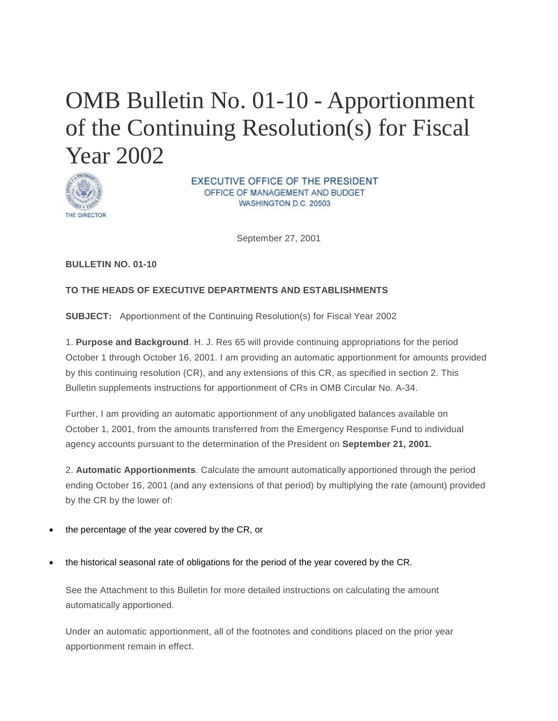# OMB Bulletin No. 01-10 - Apportionment of the Continuing Resolution(s) for Fiscal Year 2002



EXECUTIVE OFFICE OF THE PRESIDENT OFFICE OF MANAGEMENT AND BUDGET WASHINGTON D.C. 20503

September 27, 2001

### **BULLETIN NO. 01-10**

### **TO THE HEADS OF EXECUTIVE DEPARTMENTS AND ESTABLISHMENTS**

**SUBJECT:** Apportionment of the Continuing Resolution(s) for Fiscal Year 2002

1. **Purpose and Background**. H. J. Res 65 will provide continuing appropriations for the period October 1 through October 16, 2001. I am providing an automatic apportionment for amounts provided by this continuing resolution (CR), and any extensions of this CR, as specified in section 2. This Bulletin supplements instructions for apportionment of CRs in OMB Circular No. A-34.

Further, I am providing an automatic apportionment of any unobligated balances available on October 1, 2001, from the amounts transferred from the Emergency Response Fund to individual agency accounts pursuant to the determination of the President on **September 21, 2001.**

2. **Automatic Apportionments**. Calculate the amount automatically apportioned through the period ending October 16, 2001 (and any extensions of that period) by multiplying the rate (amount) provided by the CR by the lower of:

- the percentage of the year covered by the CR, or
- the historical seasonal rate of obligations for the period of the year covered by the CR.

See the Attachment to this Bulletin for more detailed instructions on calculating the amount automatically apportioned.

Under an automatic apportionment, all of the footnotes and conditions placed on the prior year apportionment remain in effect.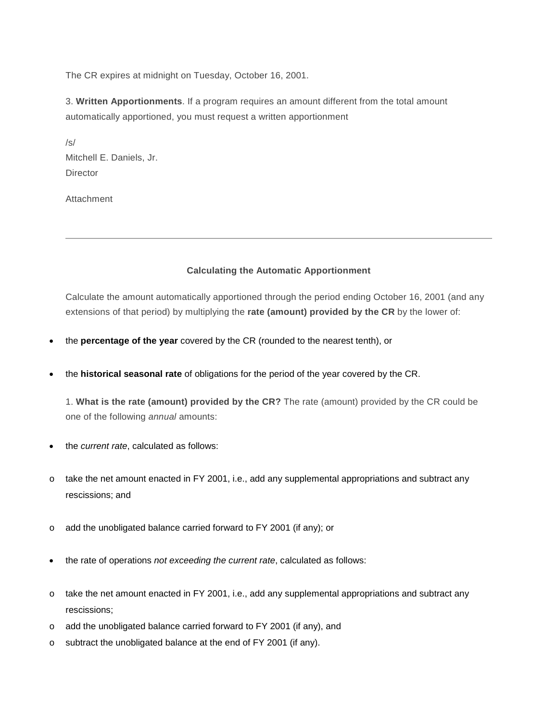The CR expires at midnight on Tuesday, October 16, 2001.

3. **Written Apportionments**. If a program requires an amount different from the total amount automatically apportioned, you must request a written apportionment

/s/ Mitchell E. Daniels, Jr. **Director** 

Attachment

### **Calculating the Automatic Apportionment**

Calculate the amount automatically apportioned through the period ending October 16, 2001 (and any extensions of that period) by multiplying the **rate (amount) provided by the CR** by the lower of:

- the **percentage of the year** covered by the CR (rounded to the nearest tenth), or
- the **historical seasonal rate** of obligations for the period of the year covered by the CR.

1. **What is the rate (amount) provided by the CR?** The rate (amount) provided by the CR could be one of the following *annual* amounts:

- the *current rate*, calculated as follows:
- o take the net amount enacted in FY 2001, i.e., add any supplemental appropriations and subtract any rescissions; and
- o add the unobligated balance carried forward to FY 2001 (if any); or
- the rate of operations *not exceeding the current rate*, calculated as follows:
- $\circ$  take the net amount enacted in FY 2001, i.e., add any supplemental appropriations and subtract any rescissions;
- o add the unobligated balance carried forward to FY 2001 (if any), and
- o subtract the unobligated balance at the end of FY 2001 (if any).